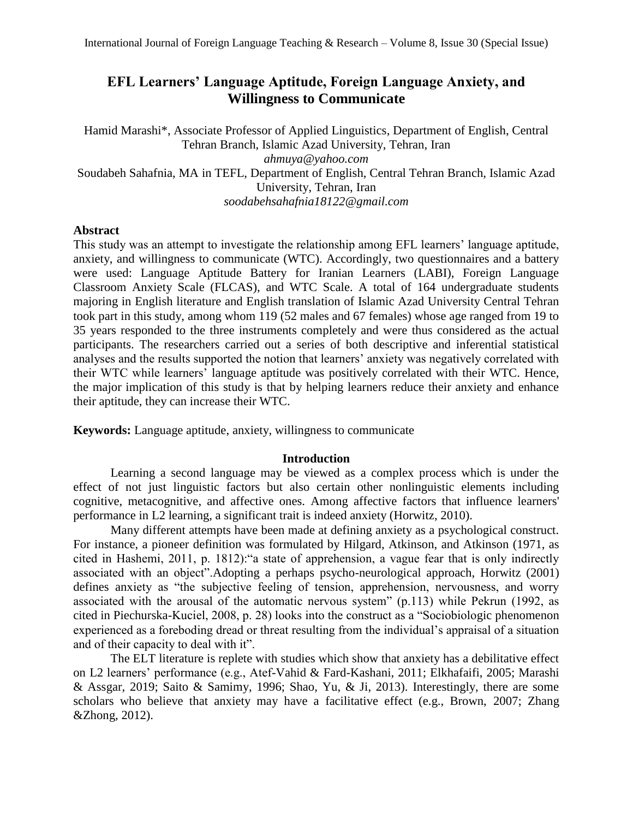# **EFL Learners' Language Aptitude, Foreign Language Anxiety, and Willingness to Communicate**

Hamid Marashi\*, Associate Professor of Applied Linguistics, Department of English, Central Tehran Branch, Islamic Azad University, Tehran, Iran *ahmuya@yahoo.com* Soudabeh Sahafnia, MA in TEFL, Department of English, Central Tehran Branch, Islamic Azad University, Tehran, Iran *soodabehsahafnia18122@gmail.com*

## **Abstract**

This study was an attempt to investigate the relationship among EFL learners' language aptitude, anxiety, and willingness to communicate (WTC). Accordingly, two questionnaires and a battery were used: Language Aptitude Battery for Iranian Learners (LABI), Foreign Language Classroom Anxiety Scale (FLCAS), and WTC Scale. A total of 164 undergraduate students majoring in English literature and English translation of Islamic Azad University Central Tehran took part in this study, among whom 119 (52 males and 67 females) whose age ranged from 19 to 35 years responded to the three instruments completely and were thus considered as the actual participants. The researchers carried out a series of both descriptive and inferential statistical analyses and the results supported the notion that learners' anxiety was negatively correlated with their WTC while learners' language aptitude was positively correlated with their WTC. Hence, the major implication of this study is that by helping learners reduce their anxiety and enhance their aptitude, they can increase their WTC.

**Keywords:** Language aptitude, anxiety, willingness to communicate

## **Introduction**

Learning a second language may be viewed as a complex process which is under the effect of not just linguistic factors but also certain other nonlinguistic elements including cognitive, metacognitive, and affective ones. Among affective factors that influence learners' performance in L2 learning, a significant trait is indeed anxiety (Horwitz, 2010).

Many different attempts have been made at defining anxiety as a psychological construct. For instance, a pioneer definition was formulated by Hilgard, Atkinson, and Atkinson (1971, as cited in Hashemi, 2011, p. 1812):"a state of apprehension, a vague fear that is only indirectly associated with an object".Adopting a perhaps psycho-neurological approach, Horwitz (2001) defines anxiety as "the subjective feeling of tension, apprehension, nervousness, and worry associated with the arousal of the automatic nervous system" (p.113) while Pekrun (1992, as cited in Piechurska-Kuciel, 2008, p. 28) looks into the construct as a "Sociobiologic phenomenon experienced as a foreboding dread or threat resulting from the individual's appraisal of a situation and of their capacity to deal with it".

The ELT literature is replete with studies which show that anxiety has a debilitative effect on L2 learners' performance (e.g., Atef-Vahid & Fard-Kashani, 2011; Elkhafaifi, 2005; Marashi & Assgar, 2019; Saito & Samimy, 1996; Shao, Yu, & Ji, 2013). Interestingly, there are some scholars who believe that anxiety may have a facilitative effect (e.g., Brown, 2007; Zhang &Zhong, 2012).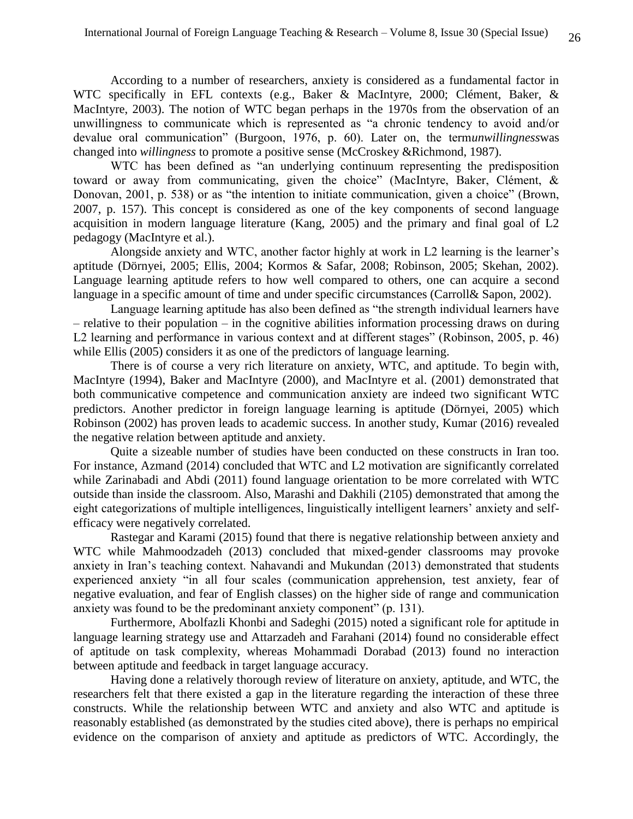According to a number of researchers, anxiety is considered as a fundamental factor in WTC specifically in EFL contexts (e.g., Baker & MacIntyre, 2000; Clément, Baker, & MacIntyre, 2003). The notion of WTC began perhaps in the 1970s from the observation of an unwillingness to communicate which is represented as "a chronic tendency to avoid and/or devalue oral communication" (Burgoon, 1976, p. 60). Later on, the term*unwillingness*was changed into *willingness* to promote a positive sense (McCroskey &Richmond, 1987).

WTC has been defined as "an underlying continuum representing the predisposition toward or away from communicating, given the choice" (MacIntyre, Baker, Clément, & Donovan, 2001, p. 538) or as "the intention to initiate communication, given a choice" (Brown, 2007, p. 157). This concept is considered as one of the key components of second language acquisition in modern language literature (Kang, 2005) and the primary and final goal of L2 pedagogy (MacIntyre et al.).

Alongside anxiety and WTC, another factor highly at work in L2 learning is the learner's aptitude (Dörnyei, 2005; Ellis, 2004; Kormos & Safar, 2008; Robinson, 2005; Skehan, 2002). Language learning aptitude refers to how well compared to others, one can acquire a second language in a specific amount of time and under specific circumstances (Carroll& Sapon, 2002).

Language learning aptitude has also been defined as "the strength individual learners have – relative to their population – in the cognitive abilities information processing draws on during L2 learning and performance in various context and at different stages" (Robinson, 2005, p. 46) while Ellis (2005) considers it as one of the predictors of language learning.

There is of course a very rich literature on anxiety, WTC, and aptitude. To begin with, MacIntyre (1994), Baker and MacIntyre (2000), and MacIntyre et al. (2001) demonstrated that both communicative competence and communication anxiety are indeed two significant WTC predictors. Another predictor in foreign language learning is aptitude (Dörnyei, 2005) which Robinson (2002) has proven leads to academic success. In another study, Kumar (2016) revealed the negative relation between aptitude and anxiety.

Quite a sizeable number of studies have been conducted on these constructs in Iran too. For instance, Azmand (2014) concluded that WTC and L2 motivation are significantly correlated while Zarinabadi and Abdi (2011) found language orientation to be more correlated with WTC outside than inside the classroom. Also, Marashi and Dakhili (2105) demonstrated that among the eight categorizations of multiple intelligences, linguistically intelligent learners' anxiety and selfefficacy were negatively correlated.

Rastegar and Karami (2015) found that there is negative relationship between anxiety and WTC while Mahmoodzadeh (2013) concluded that mixed-gender classrooms may provoke anxiety in Iran's teaching context. Nahavandi and Mukundan (2013) demonstrated that students experienced anxiety "in all four scales (communication apprehension, test anxiety, fear of negative evaluation, and fear of English classes) on the higher side of range and communication anxiety was found to be the predominant anxiety component" (p. 131).

Furthermore, Abolfazli Khonbi and Sadeghi (2015) noted a significant role for aptitude in language learning strategy use and Attarzadeh and Farahani (2014) found no considerable effect of aptitude on task complexity, whereas Mohammadi Dorabad (2013) found no interaction between aptitude and feedback in target language accuracy.

Having done a relatively thorough review of literature on anxiety, aptitude, and WTC, the researchers felt that there existed a gap in the literature regarding the interaction of these three constructs. While the relationship between WTC and anxiety and also WTC and aptitude is reasonably established (as demonstrated by the studies cited above), there is perhaps no empirical evidence on the comparison of anxiety and aptitude as predictors of WTC. Accordingly, the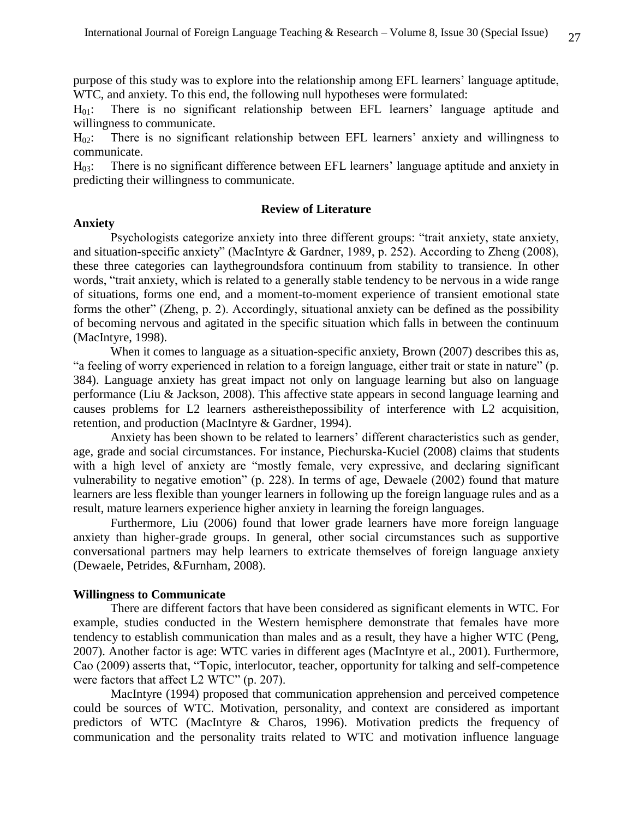purpose of this study was to explore into the relationship among EFL learners' language aptitude, WTC, and anxiety. To this end, the following null hypotheses were formulated:

H01: There is no significant relationship between EFL learners' language aptitude and willingness to communicate.

 $H_{02}$ : There is no significant relationship between EFL learners' anxiety and willingness to communicate.

H03: There is no significant difference between EFL learners' language aptitude and anxiety in predicting their willingness to communicate.

#### **Review of Literature**

#### **Anxiety**

Psychologists categorize anxiety into three different groups: "trait anxiety, state anxiety, and situation-specific anxiety" (MacIntyre & Gardner, 1989, p. 252). According to Zheng (2008), these three categories can laythegroundsfora continuum from stability to transience. In other words, "trait anxiety, which is related to a generally stable tendency to be nervous in a wide range of situations, forms one end, and a moment-to-moment experience of transient emotional state forms the other" (Zheng, p. 2). Accordingly, situational anxiety can be defined as the possibility of becoming nervous and agitated in the specific situation which falls in between the continuum (MacIntyre, 1998).

When it comes to language as a situation-specific anxiety, Brown (2007) describes this as, "a feeling of worry experienced in relation to a foreign language, either trait or state in nature" (p. 384). Language anxiety has great impact not only on language learning but also on language performance (Liu & Jackson, 2008). This affective state appears in second language learning and causes problems for L2 learners asthereisthepossibility of interference with L2 acquisition, retention, and production (MacIntyre & Gardner, 1994).

Anxiety has been shown to be related to learners' different characteristics such as gender, age, grade and social circumstances. For instance, Piechurska-Kuciel (2008) claims that students with a high level of anxiety are "mostly female, very expressive, and declaring significant vulnerability to negative emotion" (p. 228). In terms of age, Dewaele (2002) found that mature learners are less flexible than younger learners in following up the foreign language rules and as a result, mature learners experience higher anxiety in learning the foreign languages.

Furthermore, Liu (2006) found that lower grade learners have more foreign language anxiety than higher-grade groups. In general, other social circumstances such as supportive conversational partners may help learners to extricate themselves of foreign language anxiety (Dewaele, Petrides, &Furnham, 2008).

### **Willingness to Communicate**

There are different factors that have been considered as significant elements in WTC. For example, studies conducted in the Western hemisphere demonstrate that females have more tendency to establish communication than males and as a result, they have a higher WTC (Peng, 2007). Another factor is age: WTC varies in different ages (MacIntyre et al., 2001). Furthermore, Cao (2009) asserts that, "Topic, interlocutor, teacher, opportunity for talking and self-competence were factors that affect L2 WTC" (p. 207).

MacIntyre (1994) proposed that communication apprehension and perceived competence could be sources of WTC. Motivation, personality, and context are considered as important predictors of WTC (MacIntyre & Charos, 1996). Motivation predicts the frequency of communication and the personality traits related to WTC and motivation influence language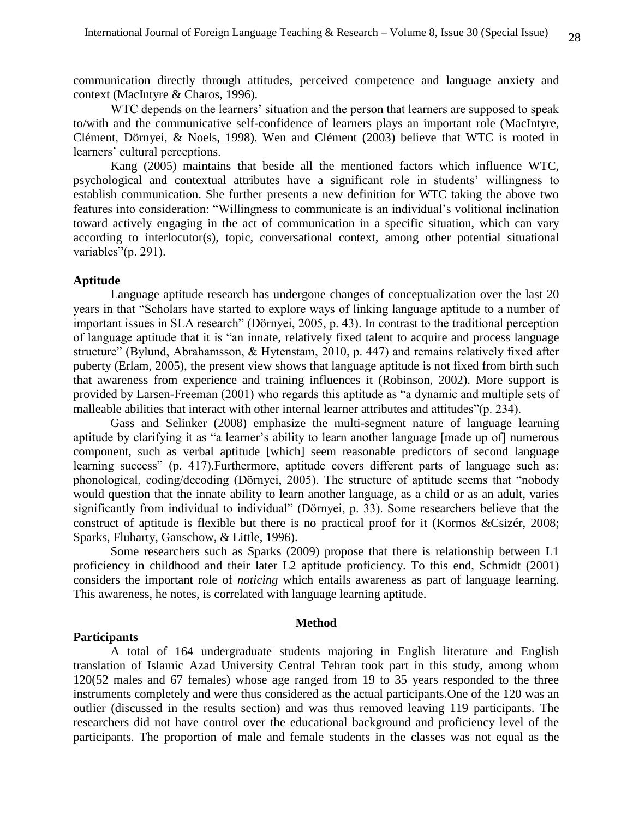communication directly through attitudes, perceived competence and language anxiety and context (MacIntyre & Charos, 1996).

WTC depends on the learners' situation and the person that learners are supposed to speak to/with and the communicative self-confidence of learners plays an important role (MacIntyre, Clément, Dörnyei, & Noels, 1998). Wen and Clément (2003) believe that WTC is rooted in learners' cultural perceptions.

Kang (2005) maintains that beside all the mentioned factors which influence WTC, psychological and contextual attributes have a significant role in students' willingness to establish communication. She further presents a new definition for WTC taking the above two features into consideration: "Willingness to communicate is an individual's volitional inclination toward actively engaging in the act of communication in a specific situation, which can vary according to interlocutor(s), topic, conversational context, among other potential situational variables"(p. 291).

#### **Aptitude**

Language aptitude research has undergone changes of conceptualization over the last 20 years in that "Scholars have started to explore ways of linking language aptitude to a number of important issues in SLA research" (Dörnyei, 2005, p. 43). In contrast to the traditional perception of language aptitude that it is "an innate, relatively fixed talent to acquire and process language structure" (Bylund, Abrahamsson, & Hytenstam, 2010, p. 447) and remains relatively fixed after puberty (Erlam, 2005), the present view shows that language aptitude is not fixed from birth such that awareness from experience and training influences it (Robinson, 2002). More support is provided by Larsen-Freeman (2001) who regards this aptitude as "a dynamic and multiple sets of malleable abilities that interact with other internal learner attributes and attitudes"(p. 234).

Gass and Selinker (2008) emphasize the multi-segment nature of language learning aptitude by clarifying it as "a learner's ability to learn another language [made up of] numerous component, such as verbal aptitude [which] seem reasonable predictors of second language learning success" (p. 417). Furthermore, aptitude covers different parts of language such as: phonological, coding/decoding (Dörnyei, 2005). The structure of aptitude seems that "nobody would question that the innate ability to learn another language, as a child or as an adult, varies significantly from individual to individual" (Dörnyei, p. 33). Some researchers believe that the construct of aptitude is flexible but there is no practical proof for it (Kormos &Csizér, 2008; Sparks, Fluharty, Ganschow, & Little, 1996).

Some researchers such as Sparks (2009) propose that there is relationship between L1 proficiency in childhood and their later L2 aptitude proficiency. To this end, Schmidt (2001) considers the important role of *noticing* which entails awareness as part of language learning. This awareness, he notes, is correlated with language learning aptitude.

#### **Method**

## **Participants**

A total of 164 undergraduate students majoring in English literature and English translation of Islamic Azad University Central Tehran took part in this study, among whom 120(52 males and 67 females) whose age ranged from 19 to 35 years responded to the three instruments completely and were thus considered as the actual participants.One of the 120 was an outlier (discussed in the results section) and was thus removed leaving 119 participants. The researchers did not have control over the educational background and proficiency level of the participants. The proportion of male and female students in the classes was not equal as the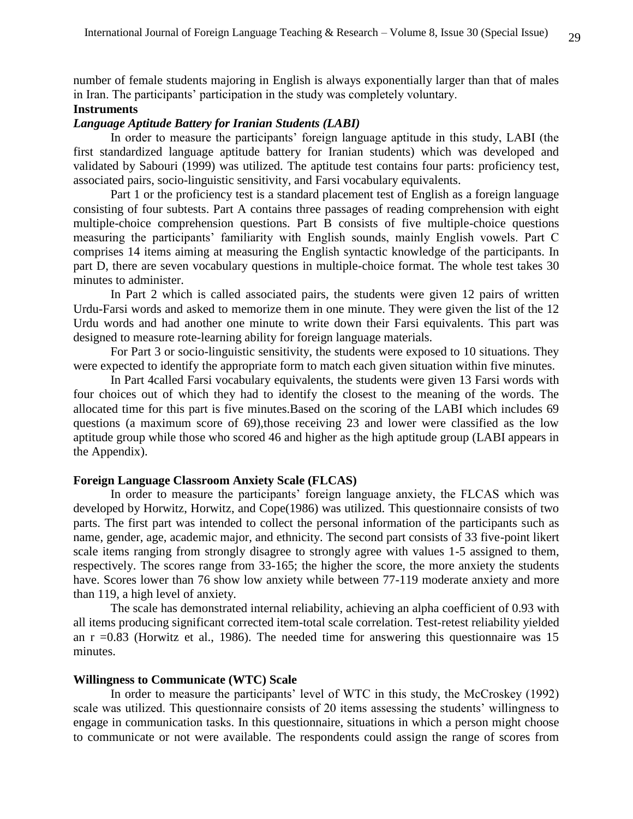number of female students majoring in English is always exponentially larger than that of males in Iran. The participants' participation in the study was completely voluntary.

## **Instruments**

## *Language Aptitude Battery for Iranian Students (LABI)*

In order to measure the participants' foreign language aptitude in this study, LABI (the first standardized language aptitude battery for Iranian students) which was developed and validated by Sabouri (1999) was utilized. The aptitude test contains four parts: proficiency test, associated pairs, socio-linguistic sensitivity, and Farsi vocabulary equivalents.

Part 1 or the proficiency test is a standard placement test of English as a foreign language consisting of four subtests. Part A contains three passages of reading comprehension with eight multiple-choice comprehension questions. Part B consists of five multiple-choice questions measuring the participants' familiarity with English sounds, mainly English vowels. Part C comprises 14 items aiming at measuring the English syntactic knowledge of the participants. In part D, there are seven vocabulary questions in multiple-choice format. The whole test takes 30 minutes to administer.

In Part 2 which is called associated pairs, the students were given 12 pairs of written Urdu-Farsi words and asked to memorize them in one minute. They were given the list of the 12 Urdu words and had another one minute to write down their Farsi equivalents. This part was designed to measure rote-learning ability for foreign language materials.

For Part 3 or socio-linguistic sensitivity, the students were exposed to 10 situations. They were expected to identify the appropriate form to match each given situation within five minutes.

In Part 4called Farsi vocabulary equivalents, the students were given 13 Farsi words with four choices out of which they had to identify the closest to the meaning of the words. The allocated time for this part is five minutes.Based on the scoring of the LABI which includes 69 questions (a maximum score of 69),those receiving 23 and lower were classified as the low aptitude group while those who scored 46 and higher as the high aptitude group (LABI appears in the Appendix).

#### **Foreign Language Classroom Anxiety Scale (FLCAS)**

In order to measure the participants' foreign language anxiety, the FLCAS which was developed by Horwitz, Horwitz, and Cope(1986) was utilized. This questionnaire consists of two parts. The first part was intended to collect the personal information of the participants such as name, gender, age, academic major, and ethnicity. The second part consists of 33 five-point likert scale items ranging from strongly disagree to strongly agree with values 1-5 assigned to them, respectively. The scores range from 33-165; the higher the score, the more anxiety the students have. Scores lower than 76 show low anxiety while between 77-119 moderate anxiety and more than 119, a high level of anxiety.

The scale has demonstrated internal reliability, achieving an alpha coefficient of 0.93 with all items producing significant corrected item-total scale correlation. Test-retest reliability yielded an  $r = 0.83$  (Horwitz et al., 1986). The needed time for answering this questionnaire was 15 minutes.

#### **Willingness to Communicate (WTC) Scale**

In order to measure the participants' level of WTC in this study, the McCroskey (1992) scale was utilized. This questionnaire consists of 20 items assessing the students' willingness to engage in communication tasks. In this questionnaire, situations in which a person might choose to communicate or not were available. The respondents could assign the range of scores from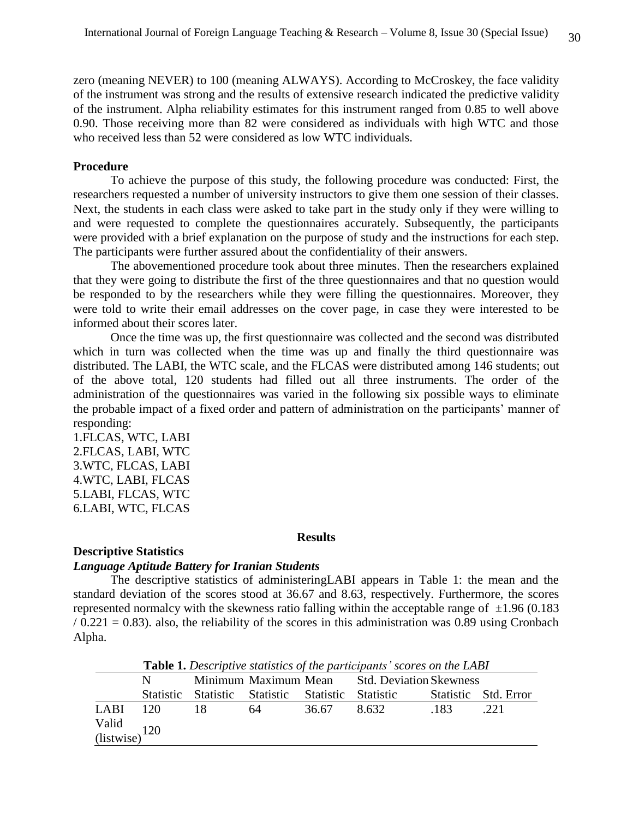zero (meaning NEVER) to 100 (meaning ALWAYS). According to McCroskey, the face validity of the instrument was strong and the results of extensive research indicated the predictive validity of the instrument. Alpha reliability estimates for this instrument ranged from 0.85 to well above 0.90. Those receiving more than 82 were considered as individuals with high WTC and those who received less than 52 were considered as low WTC individuals.

#### **Procedure**

To achieve the purpose of this study, the following procedure was conducted: First, the researchers requested a number of university instructors to give them one session of their classes. Next, the students in each class were asked to take part in the study only if they were willing to and were requested to complete the questionnaires accurately. Subsequently, the participants were provided with a brief explanation on the purpose of study and the instructions for each step. The participants were further assured about the confidentiality of their answers.

The abovementioned procedure took about three minutes. Then the researchers explained that they were going to distribute the first of the three questionnaires and that no question would be responded to by the researchers while they were filling the questionnaires. Moreover, they were told to write their email addresses on the cover page, in case they were interested to be informed about their scores later.

Once the time was up, the first questionnaire was collected and the second was distributed which in turn was collected when the time was up and finally the third questionnaire was distributed. The LABI, the WTC scale, and the FLCAS were distributed among 146 students; out of the above total, 120 students had filled out all three instruments. The order of the administration of the questionnaires was varied in the following six possible ways to eliminate the probable impact of a fixed order and pattern of administration on the participants' manner of responding:

1.FLCAS, WTC, LABI 2.FLCAS, LABI, WTC 3.WTC, FLCAS, LABI 4.WTC, LABI, FLCAS 5.LABI, FLCAS, WTC 6.LABI, WTC, FLCAS

#### **Results**

#### **Descriptive Statistics**

## *Language Aptitude Battery for Iranian Students*

The descriptive statistics of administeringLABI appears in Table 1: the mean and the standard deviation of the scores stood at 36.67 and 8.63, respectively. Furthermore, the scores represented normalcy with the skewness ratio falling within the acceptable range of  $\pm 1.96$  (0.183  $/ 0.221 = 0.83$ ). also, the reliability of the scores in this administration was 0.89 using Cronbach Alpha.

|                                |                                         |    |       | <b>Table 1.</b> Descriptive statistics of the participants' scores on the LABI |      |                      |
|--------------------------------|-----------------------------------------|----|-------|--------------------------------------------------------------------------------|------|----------------------|
|                                |                                         |    |       | Minimum Maximum Mean Std. Deviation Skewness                                   |      |                      |
|                                | Statistic Statistic Statistic Statistic |    |       | Statistic                                                                      |      | Statistic Std. Error |
| $LABI$ 120                     | 18                                      | 64 | 36.67 | 8.632                                                                          | -183 | .221                 |
| Valid $\frac{(listwise)}{120}$ |                                         |    |       |                                                                                |      |                      |
|                                |                                         |    |       |                                                                                |      |                      |

**Table 1.** *Descriptive statistics of the participants' scores on the LABI*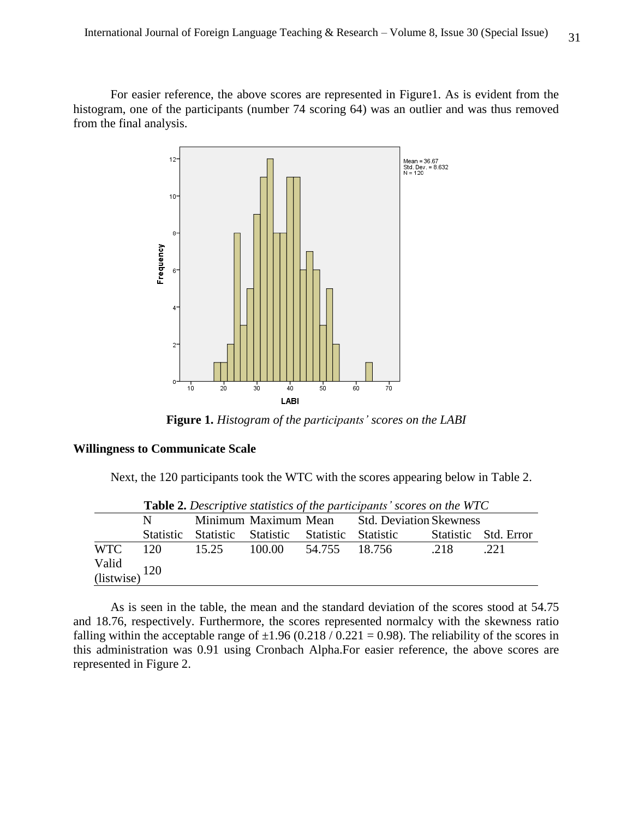For easier reference, the above scores are represented in Figure1. As is evident from the histogram, one of the participants (number 74 scoring 64) was an outlier and was thus removed from the final analysis.



**Figure 1.** *Histogram of the participants' scores on the LABI*

### **Willingness to Communicate Scale**

Next, the 120 participants took the WTC with the scores appearing below in Table 2.

|                                                     |        |       |                                         |               | <b>Table 2.</b> Descriptive statistics of the participants scores on the WIC |      |                      |
|-----------------------------------------------------|--------|-------|-----------------------------------------|---------------|------------------------------------------------------------------------------|------|----------------------|
|                                                     | N -    |       |                                         |               | Minimum Maximum Mean Std. Deviation Skewness                                 |      |                      |
|                                                     |        |       | Statistic Statistic Statistic Statistic |               | Statistic                                                                    |      | Statistic Std. Error |
| <b>WTC</b>                                          | $-120$ | 15.25 | 100.00                                  | 54.755 18.756 |                                                                              | .218 | .221                 |
| Valid $\frac{\text{Valid}}{\text{ (listwise)}}$ 120 |        |       |                                         |               |                                                                              |      |                      |

**Table 2.** *Descriptive statistics of the participants' scores on the WTC*

As is seen in the table, the mean and the standard deviation of the scores stood at 54.75 and 18.76, respectively. Furthermore, the scores represented normalcy with the skewness ratio falling within the acceptable range of  $\pm 1.96$  (0.218 / 0.221 = 0.98). The reliability of the scores in this administration was 0.91 using Cronbach Alpha.For easier reference, the above scores are represented in Figure 2.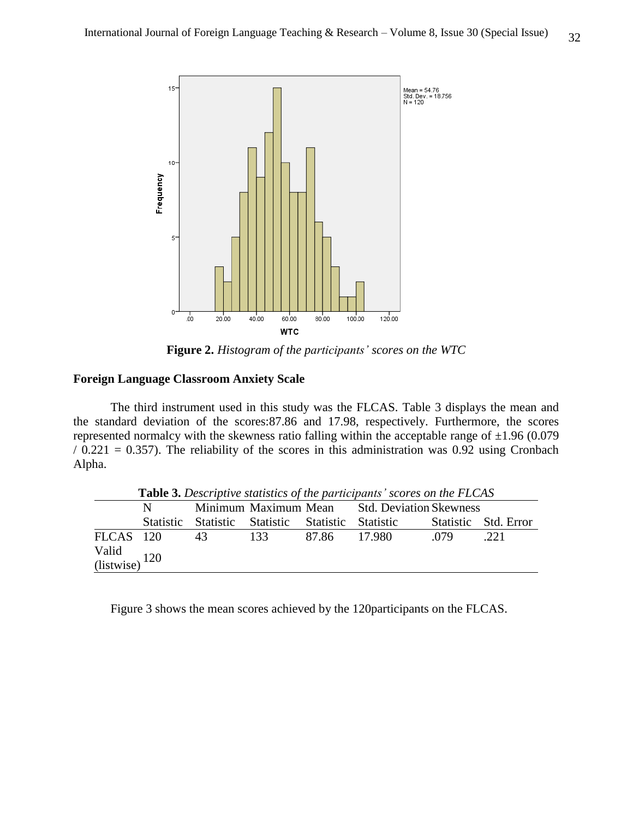

**Figure 2.** *Histogram of the participants' scores on the WTC*

## **Foreign Language Classroom Anxiety Scale**

The third instrument used in this study was the FLCAS. Table 3 displays the mean and the standard deviation of the scores:87.86 and 17.98, respectively. Furthermore, the scores represented normalcy with the skewness ratio falling within the acceptable range of  $\pm 1.96$  (0.079)  $/ 0.221 = 0.357$ ). The reliability of the scores in this administration was 0.92 using Cronbach Alpha.

|                        |     |                                         |                      |       | <b>Table 5.</b> Descriptive statistics of the participants scores on the FLCAS |      |                      |
|------------------------|-----|-----------------------------------------|----------------------|-------|--------------------------------------------------------------------------------|------|----------------------|
|                        | N - |                                         | Minimum Maximum Mean |       | <b>Std. Deviation Skewness</b>                                                 |      |                      |
|                        |     | Statistic Statistic Statistic Statistic |                      |       | Statistic                                                                      |      | Statistic Std. Error |
| FLCAS 120              |     | 43                                      | 133                  | 87.86 | -17.980-                                                                       | .079 | .221                 |
| Valid (listwise) $120$ |     |                                         |                      |       |                                                                                |      |                      |

**Table 3.** *Descriptive statistics of the participants' scores on the FLCAS*

Figure 3 shows the mean scores achieved by the 120participants on the FLCAS.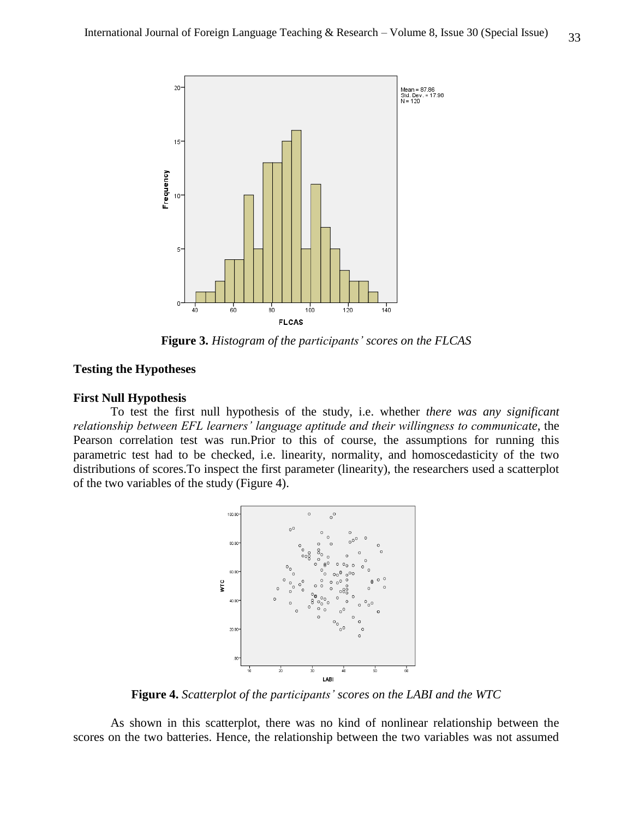

**Figure 3.** *Histogram of the participants' scores on the FLCAS*

## **Testing the Hypotheses**

#### **First Null Hypothesis**

To test the first null hypothesis of the study, i.e. whether *there was any significant relationship between EFL learners' language aptitude and their willingness to communicate*, the Pearson correlation test was run.Prior to this of course, the assumptions for running this parametric test had to be checked, i.e. linearity, normality, and homoscedasticity of the two distributions of scores.To inspect the first parameter (linearity), the researchers used a scatterplot of the two variables of the study (Figure 4).



**Figure 4.** *Scatterplot of the participants' scores on the LABI and the WTC*

As shown in this scatterplot, there was no kind of nonlinear relationship between the scores on the two batteries. Hence, the relationship between the two variables was not assumed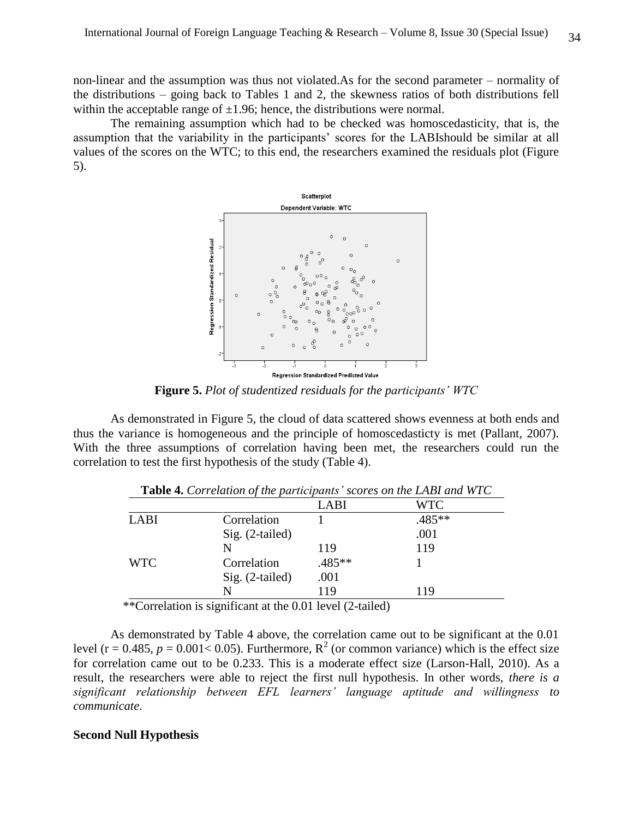non-linear and the assumption was thus not violated.As for the second parameter – normality of the distributions – going back to Tables 1 and 2, the skewness ratios of both distributions fell within the acceptable range of  $\pm 1.96$ ; hence, the distributions were normal.

The remaining assumption which had to be checked was homoscedasticity, that is, the assumption that the variability in the participants' scores for the LABIshould be similar at all values of the scores on the WTC; to this end, the researchers examined the residuals plot (Figure 5).



**Figure 5.** *Plot of studentized residuals for the participants' WTC*

As demonstrated in Figure 5, the cloud of data scattered shows evenness at both ends and thus the variance is homogeneous and the principle of homoscedasticty is met (Pallant, 2007). With the three assumptions of correlation having been met, the researchers could run the correlation to test the first hypothesis of the study (Table 4).

|             |                   | LABI   | <b>WTC</b> |
|-------------|-------------------|--------|------------|
| <b>LABI</b> | Correlation       |        | .485**     |
|             | Sig. (2-tailed)   |        | .001       |
|             | N                 | 119    | 119        |
| <b>WTC</b>  | Correlation       | .485** |            |
|             | $Sig. (2-tailed)$ | .001   |            |
|             | N                 | 119    | 119        |

**Table 4.** *Correlation of the participants' scores on the LABI and WTC*

\*\*Correlation is significant at the 0.01 level (2-tailed)

As demonstrated by Table 4 above, the correlation came out to be significant at the 0.01 level ( $r = 0.485$ ,  $p = 0.001 < 0.05$ ). Furthermore,  $R^2$  (or common variance) which is the effect size for correlation came out to be 0.233. This is a moderate effect size (Larson-Hall, 2010). As a result, the researchers were able to reject the first null hypothesis. In other words, *there is a significant relationship between EFL learners' language aptitude and willingness to communicate*.

### **Second Null Hypothesis**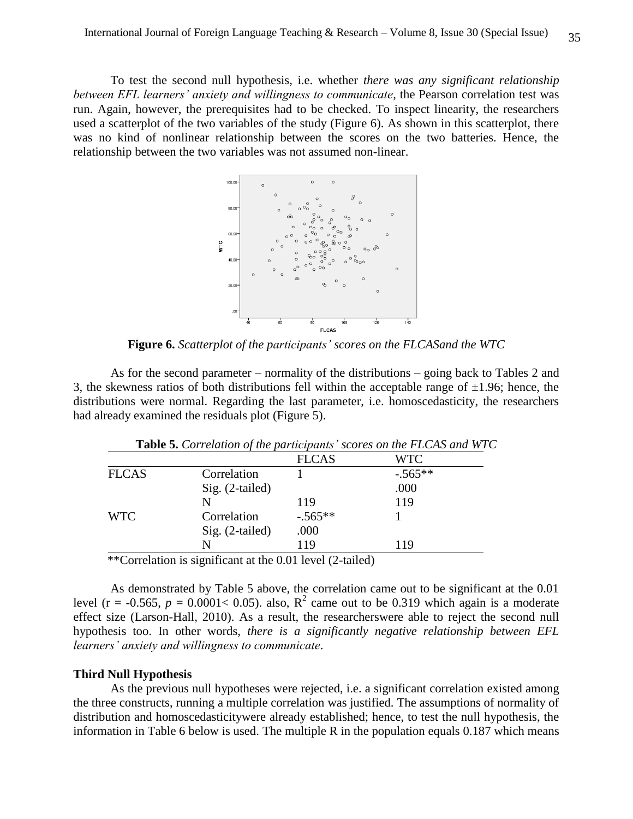To test the second null hypothesis, i.e. whether *there was any significant relationship between EFL learners' anxiety and willingness to communicate*, the Pearson correlation test was run. Again, however, the prerequisites had to be checked. To inspect linearity, the researchers used a scatterplot of the two variables of the study (Figure 6). As shown in this scatterplot, there was no kind of nonlinear relationship between the scores on the two batteries. Hence, the relationship between the two variables was not assumed non-linear.



**Figure 6.** *Scatterplot of the participants' scores on the FLCASand the WTC*

As for the second parameter – normality of the distributions – going back to Tables 2 and 3, the skewness ratios of both distributions fell within the acceptable range of  $\pm 1.96$ ; hence, the distributions were normal. Regarding the last parameter, i.e. homoscedasticity, the researchers had already examined the residuals plot (Figure 5).

|              |                   |              | <b>Table 5.</b> Correlation of the participants' scores on the FLCAS and WT |
|--------------|-------------------|--------------|-----------------------------------------------------------------------------|
|              |                   | <b>FLCAS</b> | <b>WTC</b>                                                                  |
| <b>FLCAS</b> | Correlation       |              | $-.565**$                                                                   |
|              | $Sig. (2-tailed)$ |              | .000                                                                        |
|              | N                 | 119          | 119                                                                         |
| <b>WTC</b>   | Correlation       | $-.565**$    |                                                                             |
|              | $Sig. (2-tailed)$ | .000         |                                                                             |
|              | N                 | 119          | 119                                                                         |
|              |                   |              |                                                                             |

**Table 5.** *Correlation of the participants' scores on the FLCAS and WTC*

\*\*Correlation is significant at the 0.01 level (2-tailed)

As demonstrated by Table 5 above, the correlation came out to be significant at the 0.01 level ( $r = -0.565$ ,  $p = 0.0001 < 0.05$ ). also,  $R^2$  came out to be 0.319 which again is a moderate effect size (Larson-Hall, 2010). As a result, the researcherswere able to reject the second null hypothesis too. In other words, *there is a significantly negative relationship between EFL learners' anxiety and willingness to communicate*.

#### **Third Null Hypothesis**

As the previous null hypotheses were rejected, i.e. a significant correlation existed among the three constructs, running a multiple correlation was justified. The assumptions of normality of distribution and homoscedasticitywere already established; hence, to test the null hypothesis, the information in Table 6 below is used. The multiple R in the population equals 0.187 which means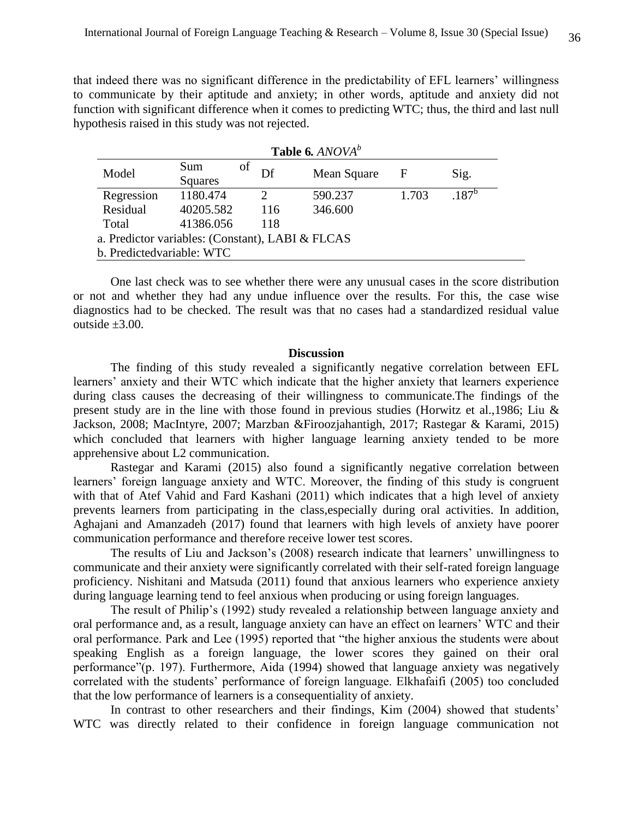that indeed there was no significant difference in the predictability of EFL learners' willingness to communicate by their aptitude and anxiety; in other words, aptitude and anxiety did not function with significant difference when it comes to predicting WTC; thus, the third and last null hypothesis raised in this study was not rejected.

| Table 6. ANOVA <sup>b</sup>                      |                |          |             |       |            |
|--------------------------------------------------|----------------|----------|-------------|-------|------------|
| Model                                            | Sum            | οf<br>Df | Mean Square | F     | Sig.       |
|                                                  | <b>Squares</b> |          |             |       |            |
| Regression                                       | 1180.474       |          | 590.237     | 1.703 | $.187^{b}$ |
| Residual                                         | 40205.582      | 116      | 346.600     |       |            |
| Total                                            | 41386.056      | 118      |             |       |            |
| a. Predictor variables: (Constant), LABI & FLCAS |                |          |             |       |            |
| b. Predicted variable: WTC                       |                |          |             |       |            |

One last check was to see whether there were any unusual cases in the score distribution or not and whether they had any undue influence over the results. For this, the case wise diagnostics had to be checked. The result was that no cases had a standardized residual value outside  $\pm 3.00$ .

### **Discussion**

The finding of this study revealed a significantly negative correlation between EFL learners' anxiety and their WTC which indicate that the higher anxiety that learners experience during class causes the decreasing of their willingness to communicate.The findings of the present study are in the line with those found in previous studies (Horwitz et al.,1986; Liu & Jackson, 2008; MacIntyre, 2007; Marzban &Firoozjahantigh, 2017; Rastegar & Karami, 2015) which concluded that learners with higher language learning anxiety tended to be more apprehensive about L2 communication.

Rastegar and Karami (2015) also found a significantly negative correlation between learners' foreign language anxiety and WTC. Moreover, the finding of this study is congruent with that of Atef Vahid and Fard Kashani (2011) which indicates that a high level of anxiety prevents learners from participating in the class,especially during oral activities. In addition, Aghajani and Amanzadeh (2017) found that learners with high levels of anxiety have poorer communication performance and therefore receive lower test scores.

The results of Liu and Jackson's (2008) research indicate that learners' unwillingness to communicate and their anxiety were significantly correlated with their self-rated foreign language proficiency. Nishitani and Matsuda (2011) found that anxious learners who experience anxiety during language learning tend to feel anxious when producing or using foreign languages.

The result of Philip's (1992) study revealed a relationship between language anxiety and oral performance and, as a result, language anxiety can have an effect on learners' WTC and their oral performance. Park and Lee (1995) reported that "the higher anxious the students were about speaking English as a foreign language, the lower scores they gained on their oral performance"(p. 197). Furthermore, Aida (1994) showed that language anxiety was negatively correlated with the students' performance of foreign language. Elkhafaifi (2005) too concluded that the low performance of learners is a consequentiality of anxiety.

In contrast to other researchers and their findings, Kim (2004) showed that students' WTC was directly related to their confidence in foreign language communication not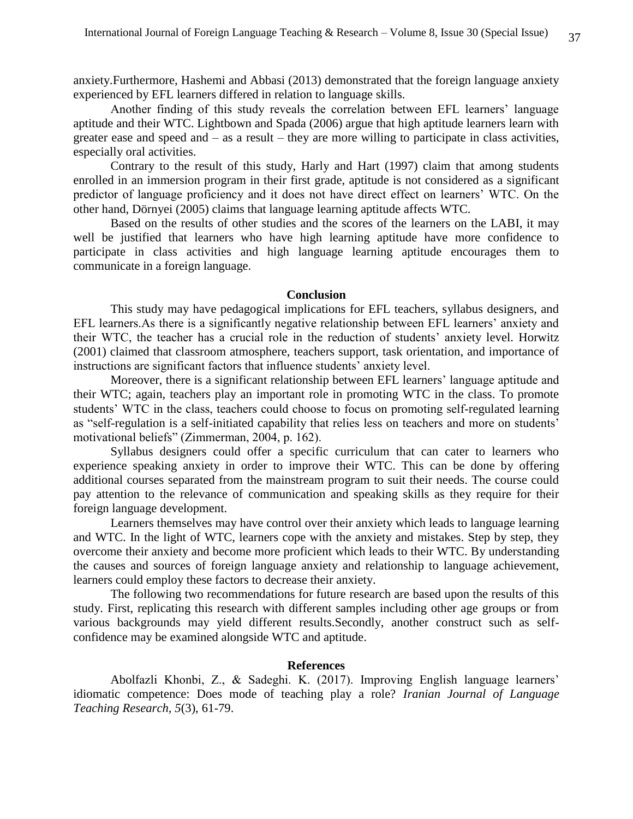anxiety.Furthermore, Hashemi and Abbasi (2013) demonstrated that the foreign language anxiety experienced by EFL learners differed in relation to language skills.

Another finding of this study reveals the correlation between EFL learners' language aptitude and their WTC. Lightbown and Spada (2006) argue that high aptitude learners learn with greater ease and speed and – as a result – they are more willing to participate in class activities, especially oral activities.

Contrary to the result of this study, Harly and Hart (1997) claim that among students enrolled in an immersion program in their first grade, aptitude is not considered as a significant predictor of language proficiency and it does not have direct effect on learners' WTC. On the other hand, Dörnyei (2005) claims that language learning aptitude affects WTC.

Based on the results of other studies and the scores of the learners on the LABI, it may well be justified that learners who have high learning aptitude have more confidence to participate in class activities and high language learning aptitude encourages them to communicate in a foreign language.

#### **Conclusion**

This study may have pedagogical implications for EFL teachers, syllabus designers, and EFL learners.As there is a significantly negative relationship between EFL learners' anxiety and their WTC, the teacher has a crucial role in the reduction of students' anxiety level. Horwitz (2001) claimed that classroom atmosphere, teachers support, task orientation, and importance of instructions are significant factors that influence students' anxiety level.

Moreover, there is a significant relationship between EFL learners' language aptitude and their WTC; again, teachers play an important role in promoting WTC in the class. To promote students' WTC in the class, teachers could choose to focus on promoting self-regulated learning as "self-regulation is a self-initiated capability that relies less on teachers and more on students' motivational beliefs" (Zimmerman, 2004, p. 162).

Syllabus designers could offer a specific curriculum that can cater to learners who experience speaking anxiety in order to improve their WTC. This can be done by offering additional courses separated from the mainstream program to suit their needs. The course could pay attention to the relevance of communication and speaking skills as they require for their foreign language development.

Learners themselves may have control over their anxiety which leads to language learning and WTC. In the light of WTC, learners cope with the anxiety and mistakes. Step by step, they overcome their anxiety and become more proficient which leads to their WTC. By understanding the causes and sources of foreign language anxiety and relationship to language achievement, learners could employ these factors to decrease their anxiety.

The following two recommendations for future research are based upon the results of this study. First, replicating this research with different samples including other age groups or from various backgrounds may yield different results.Secondly, another construct such as selfconfidence may be examined alongside WTC and aptitude.

#### **References**

Abolfazli Khonbi, Z., & Sadeghi. K. (2017). Improving English language learners' idiomatic competence: Does mode of teaching play a role? *Iranian Journal of Language Teaching Research, 5*(3), 61-79.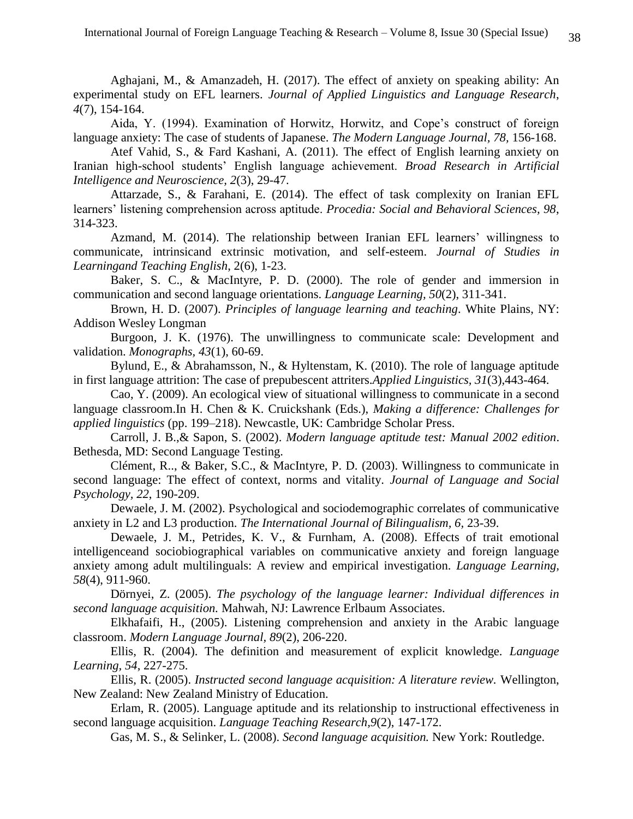Aghajani, M., & Amanzadeh, H. (2017). The effect of anxiety on speaking ability: An experimental study on EFL learners. *Journal of Applied Linguistics and Language Research*, *4*(7), 154-164.

Aida, Y. (1994). Examination of Horwitz, Horwitz, and Cope's construct of foreign language anxiety: The case of students of Japanese. *The Modern Language Journal, 78,* 156-168.

Atef Vahid, S., & Fard Kashani, A. (2011). The effect of English learning anxiety on Iranian high-school students' English language achievement. *Broad Research in Artificial Intelligence and Neuroscience, 2*(3), 29-47.

Attarzade, S., & Farahani, E. (2014). The effect of task complexity on Iranian EFL learners' listening comprehension across aptitude. *Procedia: Social and Behavioral Sciences, 98*, 314-323.

Azmand, M. (2014). The relationship between Iranian EFL learners' willingness to communicate, intrinsicand extrinsic motivation, and self-esteem. *Journal of Studies in Learningand Teaching English*, 2(6), 1-23.

Baker, S. C., & MacIntyre, P. D. (2000). The role of gender and immersion in communication and second language orientations. *Language Learning, 50*(2), 311-341.

Brown, H. D. (2007). *Principles of language learning and teaching*. White Plains, NY: Addison Wesley Longman

Burgoon, J. K. (1976). The unwillingness to communicate scale: Development and validation. *Monographs, 43*(1), 60-69.

Bylund, E., & Abrahamsson, N., & Hyltenstam, K. (2010). The role of language aptitude in first language attrition: The case of prepubescent attriters.*Applied Linguistics, 31*(3),443-464.

Cao, Y. (2009). An ecological view of situational willingness to communicate in a second language classroom.In H. Chen & K. Cruickshank (Eds.), *Making a difference: Challenges for applied linguistics* (pp. 199–218). Newcastle, UK: Cambridge Scholar Press.

Carroll, J. B.,& Sapon, S. (2002). *Modern language aptitude test: Manual 2002 edition*. Bethesda, MD: Second Language Testing.

Clément, R.., & Baker, S.C., & MacIntyre, P. D. (2003). Willingness to communicate in second language: The effect of context, norms and vitality. *Journal of Language and Social Psychology, 22*, 190-209.

Dewaele, J. M. (2002). Psychological and sociodemographic correlates of communicative anxiety in L2 and L3 production. *The International Journal of Bilingualism, 6,* 23-39.

Dewaele, J. M., Petrides, K. V., & Furnham, A. (2008). Effects of trait emotional intelligenceand sociobiographical variables on communicative anxiety and foreign language anxiety among adult multilinguals: A review and empirical investigation. *Language Learning, 58*(4), 911-960.

Dörnyei, Z. (2005). *The psychology of the language learner: Individual differences in second language acquisition.* Mahwah, NJ: Lawrence Erlbaum Associates.

Elkhafaifi, H., (2005). Listening comprehension and anxiety in the Arabic language classroom. *Modern Language Journal, 89*(2), 206-220.

Ellis, R. (2004). The definition and measurement of explicit knowledge. *Language Learning, 54*, 227-275.

Ellis, R. (2005). *Instructed second language acquisition: A literature review.* Wellington, New Zealand: New Zealand Ministry of Education.

Erlam, R. (2005). Language aptitude and its relationship to instructional effectiveness in second language acquisition. *Language Teaching Research,9*(2), 147-172.

Gas, M. S., & Selinker, L. (2008). *Second language acquisition.* New York: Routledge.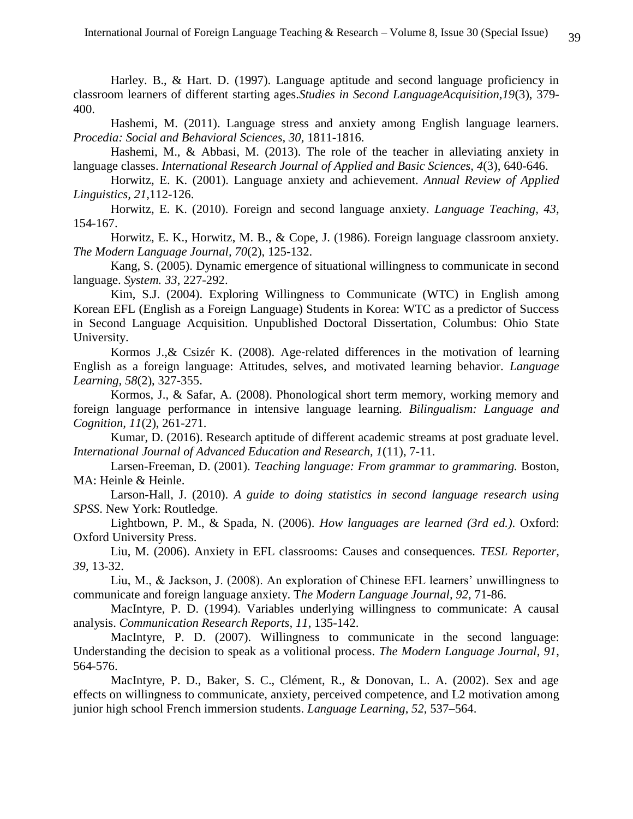Harley. B., & Hart. D. (1997). Language aptitude and second language proficiency in classroom learners of different starting ages.*Studies in Second LanguageAcquisition,19*(3), 379- 400.

Hashemi, M. (2011). Language stress and anxiety among English language learners. *Procedia: Social and Behavioral Sciences, 30,* 1811-1816.

Hashemi, M., & Abbasi, M. (2013). The role of the teacher in alleviating anxiety in language classes. *International Research Journal of Applied and Basic Sciences, 4*(3), 640-646.

Horwitz, E. K. (2001). Language anxiety and achievement. *Annual Review of Applied Linguistics, 21,*112-126.

Horwitz, E. K. (2010). Foreign and second language anxiety. *Language Teaching, 43,* 154-167.

Horwitz, E. K., Horwitz, M. B., & Cope, J. (1986). Foreign language classroom anxiety. *The Modern Language Journal, 70*(2), 125-132.

Kang, S. (2005). Dynamic emergence of situational willingness to communicate in second language. *System. 33*, 227-292.

Kim, S.J. (2004). Exploring Willingness to Communicate (WTC) in English among Korean EFL (English as a Foreign Language) Students in Korea: WTC as a predictor of Success in Second Language Acquisition. Unpublished Doctoral Dissertation, Columbus: Ohio State University.

Kormos J., & Csizér K. (2008). Age-related differences in the motivation of learning English as a foreign language: Attitudes, selves, and motivated learning behavior. *Language Learning, 58*(2), 327-355.

Kormos, J., & Safar, A. (2008). Phonological short term memory, working memory and foreign language performance in intensive language learning. *Bilingualism: Language and Cognition, 11*(2), 261-271.

Kumar, D. (2016). Research aptitude of different academic streams at post graduate level. *International Journal of Advanced Education and Research, 1*(11), 7-11.

Larsen-Freeman, D. (2001). *Teaching language: From grammar to grammaring.* Boston, MA: Heinle & Heinle.

Larson-Hall, J. (2010). *A guide to doing statistics in second language research using SPSS*. New York: Routledge.

Lightbown, P. M., & Spada, N. (2006). *How languages are learned (3rd ed.)*. Oxford: Oxford University Press.

Liu, M. (2006). Anxiety in EFL classrooms: Causes and consequences. *TESL Reporter, 39*, 13-32.

Liu, M., & Jackson, J. (2008). An exploration of Chinese EFL learners' unwillingness to communicate and foreign language anxiety. T*he Modern Language Journal, 92,* 71-86.

MacIntyre, P. D. (1994). Variables underlying willingness to communicate: A causal analysis. *Communication Research Reports, 11*, 135-142.

MacIntyre, P. D. (2007). Willingness to communicate in the second language: Understanding the decision to speak as a volitional process. *The Modern Language Journal*, *91*, 564-576.

MacIntyre, P. D., Baker, S. C., Clément, R., & Donovan, L. A. (2002). Sex and age effects on willingness to communicate, anxiety, perceived competence, and L2 motivation among junior high school French immersion students. *Language Learning*, *52*, 537–564.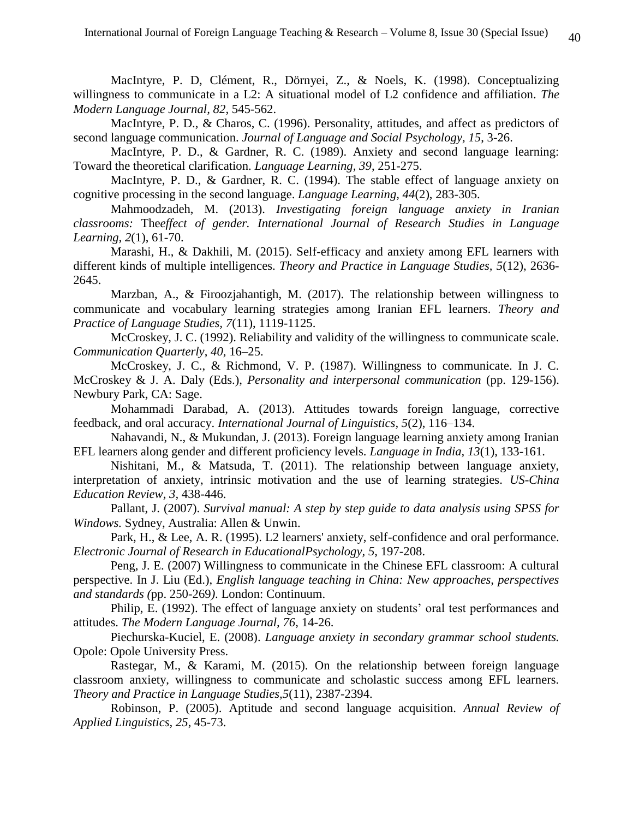MacIntyre, P. D, Clément, R., Dörnyei, Z., & Noels, K. (1998). Conceptualizing willingness to communicate in a L2: A situational model of L2 confidence and affiliation. *The Modern Language Journal, 82*, 545-562.

MacIntyre, P. D., & Charos, C. (1996). Personality, attitudes, and affect as predictors of second language communication. *Journal of Language and Social Psychology, 15*, 3-26.

MacIntyre, P. D., & Gardner, R. C. (1989). Anxiety and second language learning: Toward the theoretical clarification. *Language Learning, 39*, 251-275.

MacIntyre, P. D., & Gardner, R. C. (1994). The stable effect of language anxiety on cognitive processing in the second language. *Language Learning, 44*(2), 283-305.

Mahmoodzadeh, M. (2013). *Investigating foreign language anxiety in Iranian classrooms:* The*effect of gender. International Journal of Research Studies in Language Learning, 2*(1), 61-70.

Marashi, H., & Dakhili, M. (2015). Self-efficacy and anxiety among EFL learners with different kinds of multiple intelligences. *Theory and Practice in Language Studies, 5*(12), 2636- 2645.

Marzban, A., & Firoozjahantigh, M. (2017). The relationship between willingness to communicate and vocabulary learning strategies among Iranian EFL learners. *Theory and Practice of Language Studies, 7*(11), 1119-1125.

McCroskey, J. C. (1992). Reliability and validity of the willingness to communicate scale. *Communication Quarterly*, *40*, 16–25.

McCroskey, J. C., & Richmond, V. P. (1987). Willingness to communicate. In J. C. McCroskey & J. A. Daly (Eds.), *Personality and interpersonal communication* (pp. 129-156). Newbury Park, CA: Sage.

Mohammadi Darabad, A. (2013). Attitudes towards foreign language, corrective feedback, and oral accuracy. *International Journal of Linguistics, 5*(2), 116–134.

Nahavandi, N., & Mukundan, J. (2013). Foreign language learning anxiety among Iranian EFL learners along gender and different proficiency levels. *Language in India, 13*(1), 133-161.

Nishitani, M., & Matsuda, T. (2011). The relationship between language anxiety, interpretation of anxiety, intrinsic motivation and the use of learning strategies. *US-China Education Review, 3,* 438-446.

Pallant, J. (2007). *Survival manual: A step by step guide to data analysis using SPSS for Windows.* Sydney, Australia: Allen & Unwin.

Park, H., & Lee, A. R. (1995). L2 learners' anxiety, self-confidence and oral performance. *Electronic Journal of Research in EducationalPsychology, 5*, 197-208.

Peng, J. E. (2007) Willingness to communicate in the Chinese EFL classroom: A cultural perspective. In J. Liu (Ed.), *English language teaching in China: New approaches, perspectives and standards (*pp. 250-269*)*. London: Continuum.

Philip, E. (1992). The effect of language anxiety on students' oral test performances and attitudes. *The Modern Language Journal, 76*, 14-26.

Piechurska-Kuciel, E. (2008). *Language anxiety in secondary grammar school students.* Opole: Opole University Press.

Rastegar, M., & Karami, M. (2015). On the relationship between foreign language classroom anxiety, willingness to communicate and scholastic success among EFL learners. *Theory and Practice in Language Studies,5*(11), 2387-2394.

Robinson, P. (2005). Aptitude and second language acquisition. *Annual Review of Applied Linguistics, 25*, 45-73.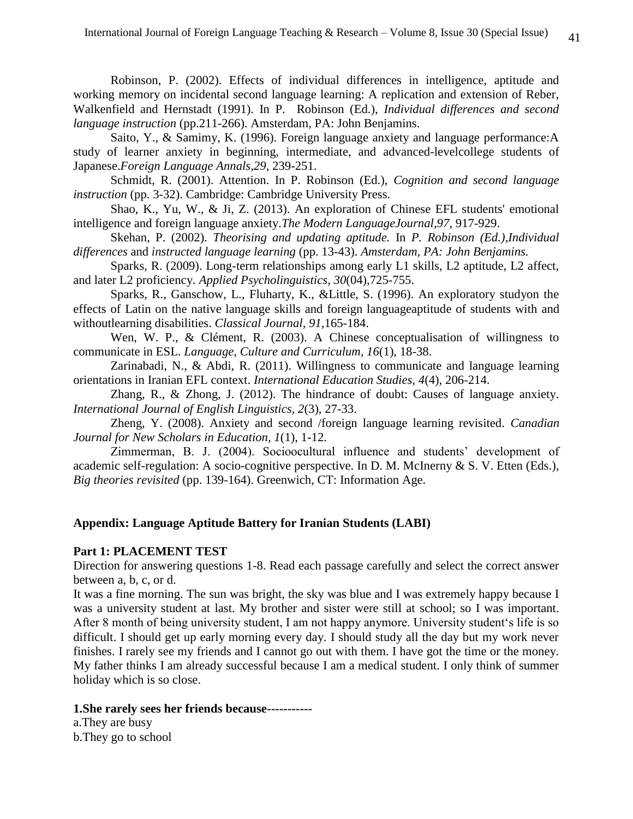Robinson, P. (2002). Effects of individual differences in intelligence, aptitude and working memory on incidental second language learning: A replication and extension of Reber, Walkenfield and Hernstadt (1991). In P. Robinson (Ed.), *Individual differences and second language instruction* (pp.211-266). Amsterdam, PA: John Benjamins.

Saito, Y., & Samimy, K. (1996). Foreign language anxiety and language performance:A study of learner anxiety in beginning, intermediate, and advanced-levelcollege students of Japanese.*Foreign Language Annals,29*, 239-251.

Schmidt, R. (2001). Attention. In P. Robinson (Ed.), *Cognition and second language instruction* (pp. 3-32). Cambridge: Cambridge University Press.

Shao, K., Yu, W., & Ji, Z. (2013). An exploration of Chinese EFL students' emotional intelligence and foreign language anxiety.*The Modern LanguageJournal,97*, 917-929.

Skehan, P. (2002). *Theorising and updating aptitude.* In *P. Robinson (Ed.),Individual differences* and *instructed language learning* (pp. 13-43). *Amsterdam, PA: John Benjamins.*

Sparks, R. (2009). Long-term relationships among early L1 skills, L2 aptitude, L2 affect, and later L2 proficiency. *[Applied Psycholinguistics,](https://www.researchgate.net/journal/1469-1817_Applied_Psycholinguistics) 30*(04),725-755.

Sparks, R., Ganschow, L., Fluharty, K., &Little, S. (1996). An exploratory studyon the effects of Latin on the native language skills and foreign languageaptitude of students with and withoutlearning disabilities. *Classical Journal, 91*,165-184.

Wen, W. P., & Clément, R. (2003). A Chinese conceptualisation of willingness to communicate in ESL. *Language, Culture and Curriculum, 16*(1), 18-38.

Zarinabadi, N., & Abdi, R. (2011). Willingness to communicate and language learning orientations in Iranian EFL context. *International Education Studies, 4*(4), 206-214.

Zhang, R., & Zhong, J. (2012). The hindrance of doubt: Causes of language anxiety. *International Journal of English Linguistics, 2*(3), 27-33.

Zheng, Y. (2008). Anxiety and second /foreign language learning revisited. *Canadian Journal for New Scholars in Education, 1*(1), 1-12.

Zimmerman, B. J. (2004). Socioocultural influence and students' development of academic self-regulation: A socio-cognitive perspective. In D. M. McInerny & S. V. Etten (Eds.), *Big theories revisited* (pp. 139-164). Greenwich, CT: Information Age.

## **Appendix: Language Aptitude Battery for Iranian Students (LABI)**

### **Part 1: PLACEMENT TEST**

Direction for answering questions 1-8. Read each passage carefully and select the correct answer between a, b, c, or d.

It was a fine morning. The sun was bright, the sky was blue and I was extremely happy because I was a university student at last. My brother and sister were still at school; so I was important. After 8 month of being university student, I am not happy anymore. University student's life is so difficult. I should get up early morning every day. I should study all the day but my work never finishes. I rarely see my friends and I cannot go out with them. I have got the time or the money. My father thinks I am already successful because I am a medical student. I only think of summer holiday which is so close.

### **1.She rarely sees her friends because-----------**

a.They are busy b.They go to school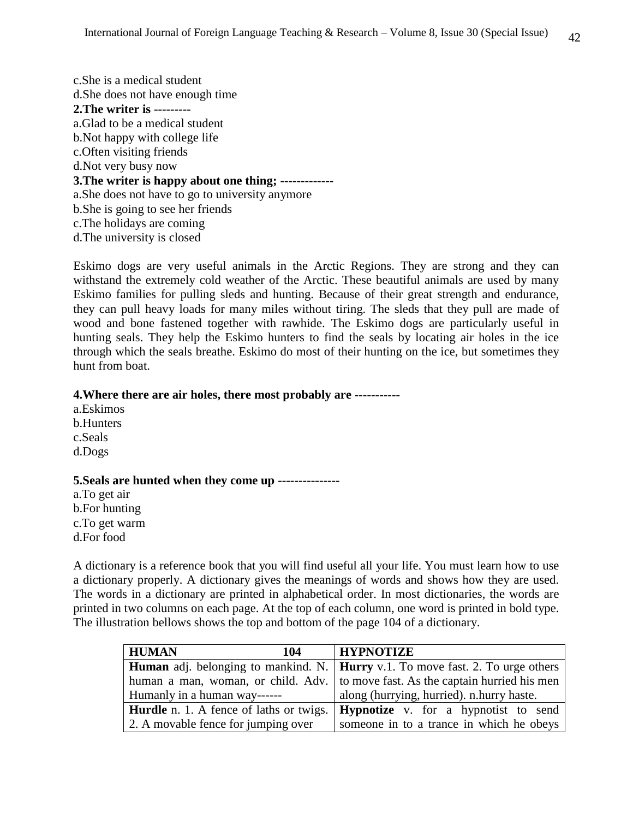c.She is a medical student d.She does not have enough time **2.The writer is --------** a.Glad to be a medical student b.Not happy with college life c.Often visiting friends d.Not very busy now **3.The writer is happy about one thing; ------------** a.She does not have to go to university anymore b.She is going to see her friends c.The holidays are coming d.The university is closed

Eskimo dogs are very useful animals in the Arctic Regions. They are strong and they can withstand the extremely cold weather of the Arctic. These beautiful animals are used by many Eskimo families for pulling sleds and hunting. Because of their great strength and endurance, they can pull heavy loads for many miles without tiring. The sleds that they pull are made of wood and bone fastened together with rawhide. The Eskimo dogs are particularly useful in hunting seals. They help the Eskimo hunters to find the seals by locating air holes in the ice through which the seals breathe. Eskimo do most of their hunting on the ice, but sometimes they hunt from boat.

## **4.Where there are air holes, there most probably are -----------**

a.Eskimos b.Hunters c.Seals d.Dogs

## **5.Seals are hunted when they come up ---------------**

a.To get air b.For hunting c.To get warm d.For food

A dictionary is a reference book that you will find useful all your life. You must learn how to use a dictionary properly. A dictionary gives the meanings of words and shows how they are used. The words in a dictionary are printed in alphabetical order. In most dictionaries, the words are printed in two columns on each page. At the top of each column, one word is printed in bold type. The illustration bellows shows the top and bottom of the page 104 of a dictionary.

| <b>HUMAN</b><br>104                 | <b>HYPNOTIZE</b>                                                                               |
|-------------------------------------|------------------------------------------------------------------------------------------------|
|                                     | <b>Human</b> adj. belonging to mankind. N.   <b>Hurry</b> v.1. To move fast. 2. To urge others |
|                                     | human a man, woman, or child. Adv.   to move fast. As the captain hurried his men              |
| Humanly in a human way------        | along (hurrying, hurried). n.hurry haste.                                                      |
|                                     | <b>Hurdle</b> n. 1. A fence of laths or twigs. <b>Hypnotize</b> v. for a hypnotist to send     |
| 2. A movable fence for jumping over | someone in to a trance in which he obeys                                                       |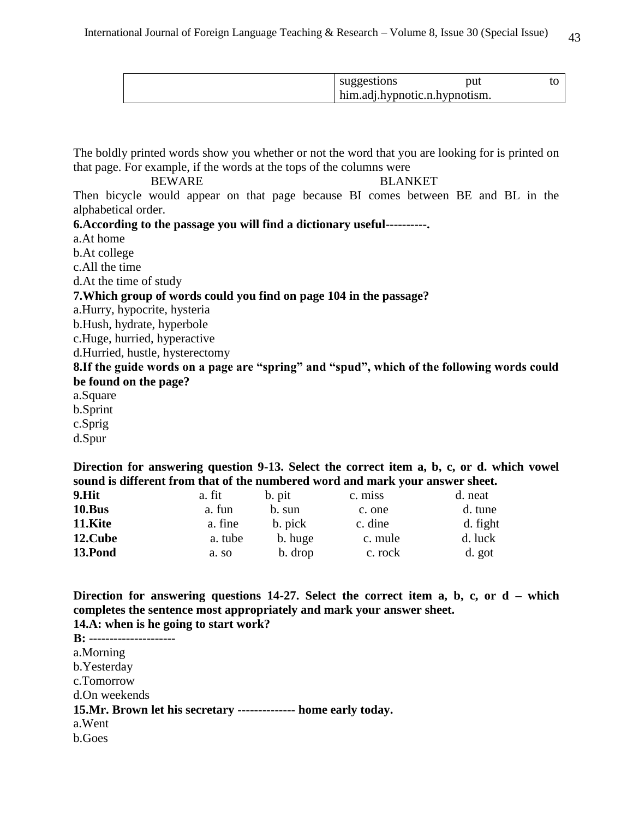| suggestions                   | put |  |
|-------------------------------|-----|--|
| him.adj.hypnotic.n.hypnotism. |     |  |

The boldly printed words show you whether or not the word that you are looking for is printed on that page. For example, if the words at the tops of the columns were

BEWARE BLANKET Then bicycle would appear on that page because BI comes between BE and BL in the alphabetical order.

**6.According to the passage you will find a dictionary useful----------.**

a.At home

b.At college

c.All the time

d.At the time of study

**7.Which group of words could you find on page 104 in the passage?**

a.Hurry, hypocrite, hysteria

b.Hush, hydrate, hyperbole

c.Huge, hurried, hyperactive

d.Hurried, hustle, hysterectomy

**8.If the guide words on a page are "spring" and "spud", which of the following words could be found on the page?**

a.Square b.Sprint

c.Sprig

d.Spur

**Direction for answering question 9-13. Select the correct item a, b, c, or d. which vowel sound is different from that of the numbered word and mark your answer sheet.** 

| 9.Hit   | a. fit  | b. pit  | c. miss | d. neat  |
|---------|---------|---------|---------|----------|
| 10.Bus  | a. fun  | b. sun  | c. one  | d. tune  |
| 11.Kite | a. fine | b. pick | c. dine | d. fight |
| 12.Cube | a. tube | b. huge | c. mule | d. luck  |
| 13.Pond | a. so   | b. drop | c. rock | d. got   |

**Direction for answering questions 14-27. Select the correct item a, b, c, or d – which completes the sentence most appropriately and mark your answer sheet. 14.A: when is he going to start work?**

**B: --------------------** a.Morning b.Yesterday c.Tomorrow d.On weekends **15.Mr. Brown let his secretary -------------- home early today.** a.Went b.Goes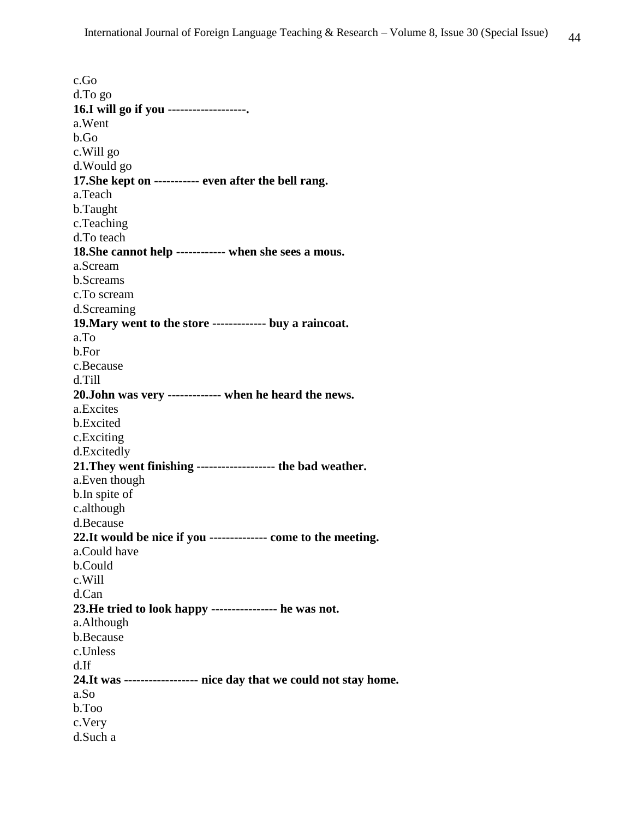c.Go d.To go **16.I will go if you -------------------.** a.Went b.Go c.Will go d.Would go **17.She kept on ----------- even after the bell rang.** a.Teach b.Taught c.Teaching d.To teach **18.She cannot help ------------ when she sees a mous.** a.Scream b.Screams c.To scream d.Screaming **19.Mary went to the store ------------- buy a raincoat.** a.To b.For c.Because d.Till **20.John was very ------------- when he heard the news.** a.Excites b.Excited c.Exciting d.Excitedly **21.They went finishing ------------------- the bad weather.** a.Even though b.In spite of c.although d.Because **22.It would be nice if you -------------- come to the meeting.** a.Could have b.Could c.Will d.Can **23.He tried to look happy ---------------- he was not.** a.Although b.Because c.Unless d.If **24.It was ------------------ nice day that we could not stay home.** a.So b.Too c.Very d.Such a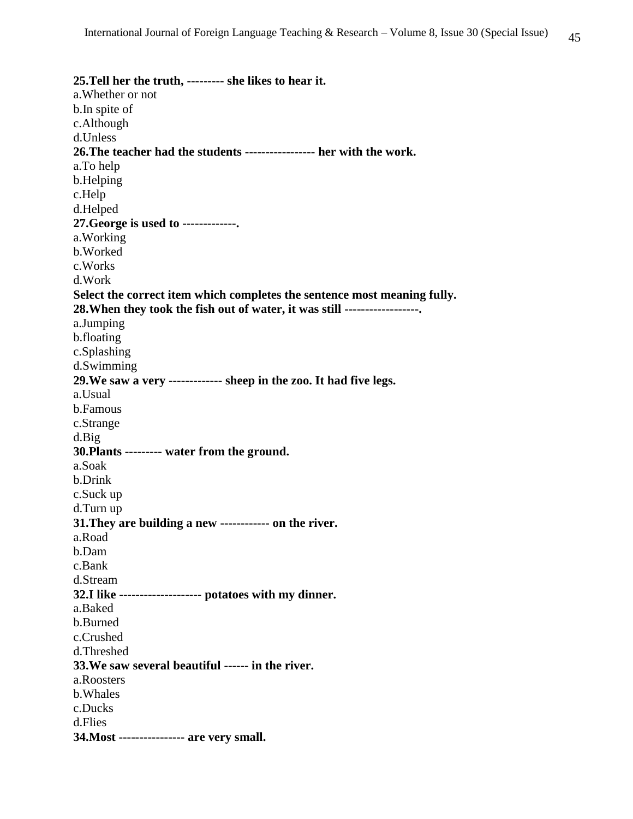**25.Tell her the truth, --------- she likes to hear it.** a.Whether or not b.In spite of c.Although d.Unless **26.The teacher had the students ----------------- her with the work.** a.To help b.Helping c.Help d.Helped **27.George is used to -------------.** a.Working b.Worked c.Works d.Work **Select the correct item which completes the sentence most meaning fully. 28.When they took the fish out of water, it was still ------------------.** a.Jumping b.floating c.Splashing d.Swimming **29.We saw a very ------------- sheep in the zoo. It had five legs.** a.Usual b.Famous c.Strange d.Big **30.Plants --------- water from the ground.** a.Soak b.Drink c.Suck up d.Turn up **31.They are building a new ------------ on the river.** a.Road b.Dam c.Bank d.Stream **32.I like -------------------- potatoes with my dinner.** a.Baked b.Burned c.Crushed d.Threshed **33.We saw several beautiful ------ in the river.** a.Roosters b.Whales c.Ducks d.Flies **34.Most ---------------- are very small.**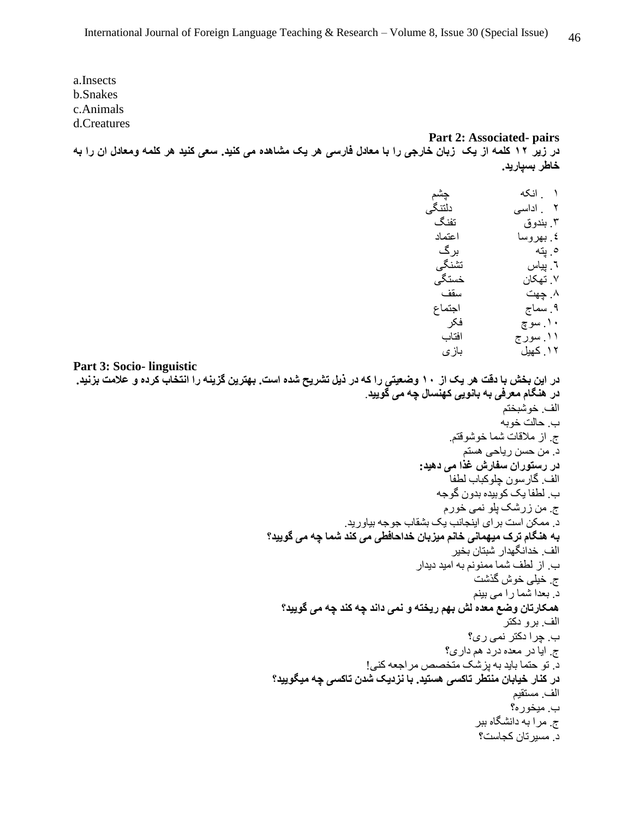a.Insects b.Snakes c.Animals d.Creatures

**Part 2: Associated- pairs در زیر 21 کلمه از یک زبان خارجی را با معادل فارسی هر یک مشاهده می کنید. سعی کنید هر کلمه ومعادل ان را به خاطر بسپارید.** 

| چشم    | ۱ انکه    |
|--------|-----------|
| دلتنگى | ۲ اداسی   |
| تفنگ   | ۳. بندوق  |
| اعتماد | ٤. بهروسا |
| بر گ   | ه بته     |
| تشنگی  | ٦. بياس   |
| خستگے، | ۷ تهکان   |
| سقف    | ۸. چهت    |
| اجتماع | ۹ سماج    |
| فكر    | ۱۰ سوچ    |
| افتاب  | ۱۱. سور ج |
| بازي   | ۱۲ کهیل   |
|        |           |

```
Part 3: Socio- linguistic
```
**در این بخش با دقت هر یک از 21 وضعیتی را که در ذیل تشریح شده است. بهترین گزینه را انتخاب کرده و عالمت بزنید. در هنگام معرفی به بانویی کهنسال چه می گویید**.

```
الف. خوشبختم
                                                   ب. حالت خوبه
                                        ج. از مالقات شما خوشوقتم.
                                           د. من حسن ریاحی هستم
                                 در رستوران سفارش غذا می دهید:
                                       الف. گارسون چلوکباب لطفا
                                     ب. لطفا یک کوبیده بدون گوجه
                                       ج. من زرشک پلو نمی خورم
                 د. ممکن است برای اینجانب یک بشقاب جوجه بیاورید.
به هنگام ترک میهمانی خانم میزبان خداحافطی می کند شما چه می گویید؟
                                        الف. خدانگهدار شبتان بخیر
                                ب. از لطف شما ممنونم به امید دیدار
                                             ج. خیلی خوش گذشت
                                             د. بعدا شما را می بینم
  همکارتان وضع معده لش بهم ریخته و نمی داند چه کند چه می گویید؟
                                                    الف. برو دکتر
                                            ب. چرا دکتر نمی ری؟
                                       ج. ایا در معده درد هم داری؟
                     د. تو حتما باید به پزشک متخصص مراجعه کنی!
 در کنار خیابان منتطر تاکسی هستید. با نزدیک شدن تاکسی چه میگویید؟
                                                      الف. مستقیم
                                                     ب. میخوره؟
                                             ج. مرا به دانشگاه ببر
                                             د. مسیرتان کجاست؟
```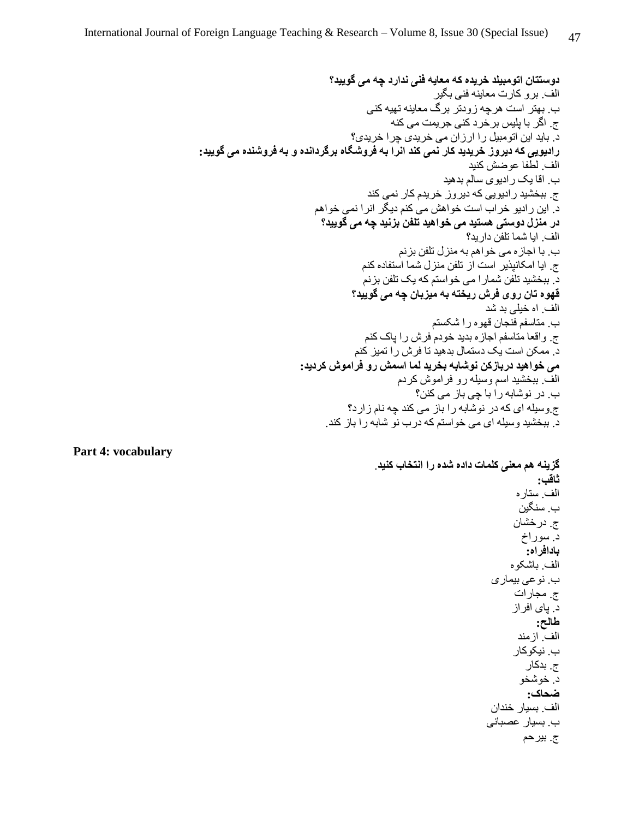**دوستتان اتومبیلد خریده که معایه فنی ندارد چه می گویید؟** الف. برو کارت معاینه فنی بگیر ب. بهتر است هرچه زودتر برگ معاینه تهیه کنی ج. اگر با پلیس برخرد کنی جریمت می کنه د. باید این اتومبیل را ارزان می خریدی چرا خریدی؟ **رادیویی که دیروز خریدید کار نمی کند انرا به فروشگاه برگردانده و به فروشنده می گویید:** الف. لطفا عوضش کنید ب. اقا یک رادیوی سالم بدهید ج. ببخشید رادیویی که دیروز خریدم کار نمی کند د. این رادیو خراب است خواهش می کنم دیگر انرا نمی خواهم **در منزل دوستی هستید می خواهید تلفن بزنید چه می گویید؟** الف. ایا شما تلفن دارید؟ ب. با اجازه می خواهم به منزل تلفن بزنم ج. ایا امکانپذیر است از تلفن منزل شما استفاده کنم د. ببخشید تلفن شمارا می خواستم که یک تلفن بزنم **قهوه تان روی فرش ریخته به میزبان چه می گویید؟** الف. اه خیلی بد شد ب. متاسفم فنجان قهوه را شکستم ج. واقعا متاسفم اجازه بدید خودم فرش را پاک کنم د. ممکن است یک دستمال بدهید تا فرش را تمیز کنم **می خواهید دربازکن نوشابه بخرید لما اسمش رو فراموش کردید:** الف. ببخشید اسم وسیله رو فراموش کردم ب. در نوشابه را با چی باز می کنن؟ ج.وسیله ای که در نوشابه را باز می کند چه نام زارد؟ د. ببخشید وسیله ای می خواستم که درب نو شابه را باز کند.

**Part 4: vocabulary**

**گزینه هم معنی کلمات داده شده را انتخاب کنید**. **ثاقب:** الف. ستاره ب. سنگین ج. درخشان د. سوراخ **بادافراه:** الف. باشکوه ب. نوعی بیماری ج. مجارات د. پای افراز **طالح:** الف. ازمند ب. نیکوکار ج. بدکار د. خوشخو **ضحاک:** الف. بسیار خندان ب. بسیار عصبانی ج. بیرحم